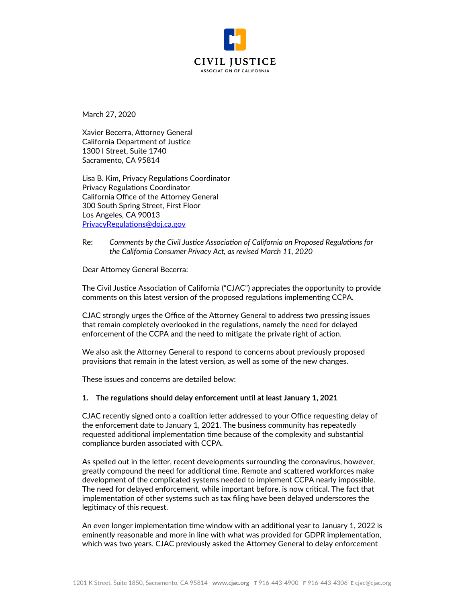

March 27, 2020

Xavier Becerra, Attorney General California Department of Justice 1300 I Street, Suite 1740 Sacramento, CA 95814

Lisa B. Kim, Privacy Regulations Coordinator Privacy Regulations Coordinator California Office of the Attorney General 300 South Spring Street, First Floor Los Angeles, CA 90013 [PrivacyRegulations@doj.ca.gov](mailto:PrivacyRegulations@doj.ca.gov)

Re: *Comments by the Civil Justice Association of California on Proposed Regulations for the California Consumer Privacy Act, as revised March 11, 2020*

Dear Attorney General Becerra:

The Civil Justice Association of California ("CJAC") appreciates the opportunity to provide comments on this latest version of the proposed regulations implementing CCPA.

CJAC strongly urges the Office of the Attorney General to address two pressing issues that remain completely overlooked in the regulations, namely the need for delayed enforcement of the CCPA and the need to mitigate the private right of action.

We also ask the Attorney General to respond to concerns about previously proposed provisions that remain in the latest version, as well as some of the new changes.

These issues and concerns are detailed below:

#### **1. The regulations should delay enforcement until at least January 1, 2021**

CJAC recently signed onto a coalition letter addressed to your Office requesting delay of the enforcement date to January 1, 2021. The business community has repeatedly requested additional implementation time because of the complexity and substantial compliance burden associated with CCPA.

As spelled out in the letter, recent developments surrounding the coronavirus, however, greatly compound the need for additional time. Remote and scattered workforces make development of the complicated systems needed to implement CCPA nearly impossible. The need for delayed enforcement, while important before, is now critical. The fact that implementation of other systems such as tax filing have been delayed underscores the legitimacy of this request.

An even longer implementation time window with an additional year to January 1, 2022 is eminently reasonable and more in line with what was provided for GDPR implementation, which was two years. CJAC previously asked the Attorney General to delay enforcement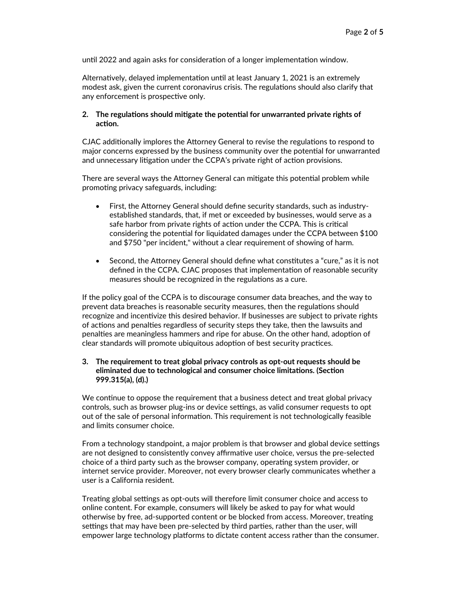until 2022 and again asks for consideration of a longer implementation window.

Alternatively, delayed implementation until at least January 1, 2021 is an extremely modest ask, given the current coronavirus crisis. The regulations should also clarify that any enforcement is prospective only.

#### **2. The regulations should mitigate the potential for unwarranted private rights of action.**

CJAC additionally implores the Attorney General to revise the regulations to respond to major concerns expressed by the business community over the potential for unwarranted and unnecessary litigation under the CCPA's private right of action provisions.

There are several ways the Attorney General can mitigate this potential problem while promoting privacy safeguards, including:

- First, the Attorney General should define security standards, such as industryestablished standards, that, if met or exceeded by businesses, would serve as a safe harbor from private rights of action under the CCPA. This is critical considering the potential for liquidated damages under the CCPA between \$100 and \$750 "per incident," without a clear requirement of showing of harm.
- Second, the Attorney General should define what constitutes a "cure," as it is not defined in the CCPA. CJAC proposes that implementation of reasonable security measures should be recognized in the regulations as a cure.

If the policy goal of the CCPA is to discourage consumer data breaches, and the way to prevent data breaches is reasonable security measures, then the regulations should recognize and incentivize this desired behavior. If businesses are subject to private rights of actions and penalties regardless of security steps they take, then the lawsuits and penalties are meaningless hammers and ripe for abuse. On the other hand, adoption of clear standards will promote ubiquitous adoption of best security practices.

## **3. The requirement to treat global privacy controls as opt-out requests should be eliminated due to technological and consumer choice limitations. (Section 999.315(a), (d).)**

We continue to oppose the requirement that a business detect and treat global privacy controls, such as browser plug-ins or device settings, as valid consumer requests to opt out of the sale of personal information. This requirement is not technologically feasible and limits consumer choice.

From a technology standpoint, a major problem is that browser and global device settings are not designed to consistently convey affirmative user choice, versus the pre-selected choice of a third party such as the browser company, operating system provider, or internet service provider. Moreover, not every browser clearly communicates whether a user is a California resident.

Treating global settings as opt-outs will therefore limit consumer choice and access to online content. For example, consumers will likely be asked to pay for what would otherwise by free, ad-supported content or be blocked from access. Moreover, treating settings that may have been pre-selected by third parties, rather than the user, will empower large technology platforms to dictate content access rather than the consumer.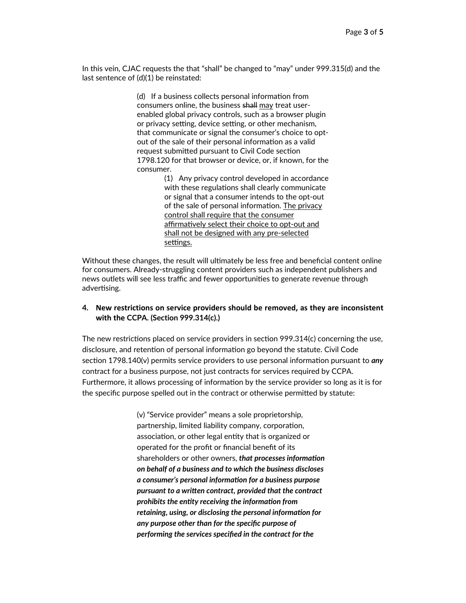In this vein, CJAC requests the that "shall" be changed to "may" under 999.315(d) and the last sentence of (d)(1) be reinstated:

> (d) If a business collects personal information from consumers online, the business shall may treat userenabled global privacy controls, such as a browser plugin or privacy setting, device setting, or other mechanism, that communicate or signal the consumer's choice to optout of the sale of their personal information as a valid request submitted pursuant to Civil Code section 1798.120 for that browser or device, or, if known, for the consumer.

> > (1) Any privacy control developed in accordance with these regulations shall clearly communicate or signal that a consumer intends to the opt-out of the sale of personal information. The privacy control shall require that the consumer affirmatively select their choice to opt-out and shall not be designed with any pre-selected settings.

Without these changes, the result will ultimately be less free and beneficial content online for consumers. Already-struggling content providers such as independent publishers and news outlets will see less traffic and fewer opportunities to generate revenue through advertising.

# **4. New restrictions on service providers should be removed, as they are inconsistent with the CCPA. (Section 999.314(c).)**

The new restrictions placed on service providers in section 999.314(c) concerning the use, disclosure, and retention of personal information go beyond the statute. Civil Code section 1798.140(v) permits service providers to use personal information pursuant to *any* contract for a business purpose, not just contracts for services required by CCPA. Furthermore, it allows processing of information by the service provider so long as it is for the specific purpose spelled out in the contract or otherwise permitted by statute:

> (v) "Service provider" means a sole proprietorship, partnership, limited liability company, corporation, association, or other legal entity that is organized or operated for the profit or financial benefit of its shareholders or other owners, *that processes information on behalf of a business and to which the business discloses a consumer's personal information for a business purpose pursuant to a written contract, provided that the contract prohibits the entity receiving the information from retaining, using, or disclosing the personal information for any purpose other than for the specific purpose of performing the services specified in the contract for the*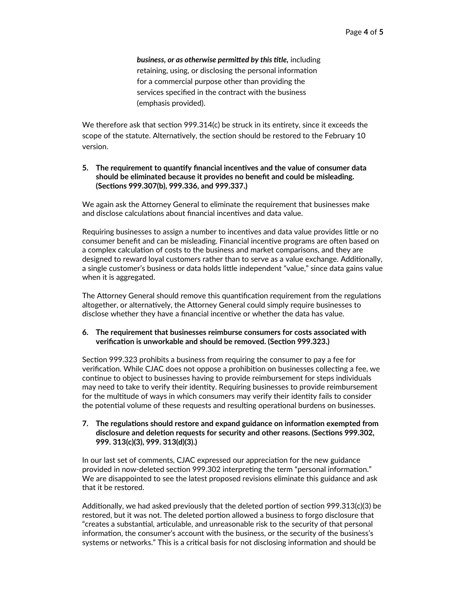*business, or as otherwise permitted by this title,* including retaining, using, or disclosing the personal information for a commercial purpose other than providing the services specified in the contract with the business (emphasis provided).

We therefore ask that section 999.314(c) be struck in its entirety, since it exceeds the scope of the statute. Alternatively, the section should be restored to the February 10 version.

## **5. The requirement to quantify financial incentives and the value of consumer data should be eliminated because it provides no benefit and could be misleading. (Sections 999.307(b), 999.336, and 999.337.)**

We again ask the Attorney General to eliminate the requirement that businesses make and disclose calculations about financial incentives and data value.

Requiring businesses to assign a number to incentives and data value provides little or no consumer benefit and can be misleading. Financial incentive programs are often based on a complex calculation of costs to the business and market comparisons, and they are designed to reward loyal customers rather than to serve as a value exchange. Additionally, a single customer's business or data holds little independent "value," since data gains value when it is aggregated.

The Attorney General should remove this quantification requirement from the regulations altogether, or alternatively, the Attorney General could simply require businesses to disclose whether they have a financial incentive or whether the data has value.

# **6. The requirement that businesses reimburse consumers for costs associated with verification is unworkable and should be removed. (Section 999.323.)**

Section 999.323 prohibits a business from requiring the consumer to pay a fee for verification. While CJAC does not oppose a prohibition on businesses collecting a fee, we continue to object to businesses having to provide reimbursement for steps individuals may need to take to verify their identity. Requiring businesses to provide reimbursement for the multitude of ways in which consumers may verify their identity fails to consider the potential volume of these requests and resulting operational burdens on businesses.

## **7. The regulations should restore and expand guidance on information exempted from disclosure and deletion requests for security and other reasons. (Sections 999.302, 999. 313(c)(3), 999. 313(d)(3).)**

In our last set of comments, CJAC expressed our appreciation for the new guidance provided in now-deleted section 999.302 interpreting the term "personal information." We are disappointed to see the latest proposed revisions eliminate this guidance and ask that it be restored.

Additionally, we had asked previously that the deleted portion of section 999.313(c)(3) be restored, but it was not. The deleted portion allowed a business to forgo disclosure that "creates a substantial, articulable, and unreasonable risk to the security of that personal information, the consumer's account with the business, or the security of the business's systems or networks." This is a critical basis for not disclosing information and should be